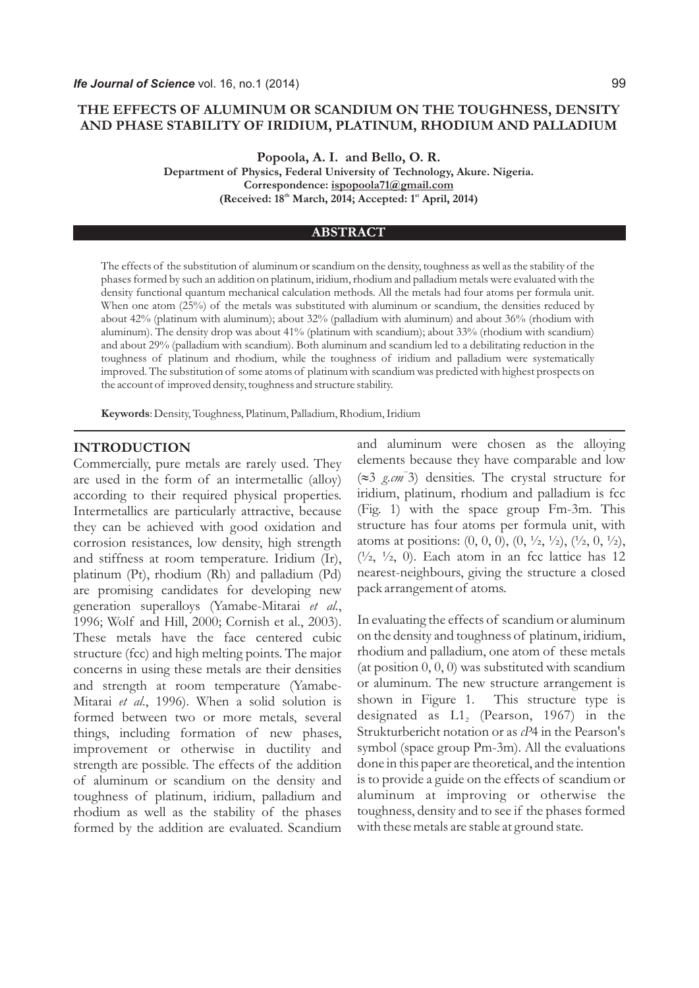# **THE EFFECTS OF ALUMINUM OR SCANDIUM ON THE TOUGHNESS, DENSITY AND PHASE STABILITY OF IRIDIUM, PLATINUM, RHODIUM AND PALLADIUM**

**Popoola, A. I. and Bello, O. R.** 

**Department of Physics, Federal University of Technology, Akure. Nigeria. Correspondence: ispopoola71@gmail.com (Received: 18<sup>th</sup> March, 2014; Accepted: 1<sup>st</sup> April, 2014)** 

#### **ABSTRACT**

The effects of the substitution of aluminum or scandium on the density, toughness as well as the stability of the phases formed by such an addition on platinum, iridium, rhodium and palladium metals were evaluated with the density functional quantum mechanical calculation methods. All the metals had four atoms per formula unit. When one atom (25%) of the metals was substituted with aluminum or scandium, the densities reduced by about 42% (platinum with aluminum); about 32% (palladium with aluminum) and about 36% (rhodium with aluminum). The density drop was about 41% (platinum with scandium); about 33% (rhodium with scandium) and about 29% (palladium with scandium). Both aluminum and scandium led to a debilitating reduction in the toughness of platinum and rhodium, while the toughness of iridium and palladium were systematically improved. The substitution of some atoms of platinum with scandium was predicted with highest prospects on the account of improved density, toughness and structure stability.

**Keywords**: Density, Toughness, Platinum, Palladium, Rhodium, Iridium

#### **INTRODUCTION**

Commercially, pure metals are rarely used. They are used in the form of an intermetallic (alloy) according to their required physical properties. Intermetallics are particularly attractive, because they can be achieved with good oxidation and corrosion resistances, low density, high strength and stiffness at room temperature. Iridium (Ir), platinum (Pt), rhodium (Rh) and palladium (Pd) are promising candidates for developing new generation superalloys (Yamabe-Mitarai *et al.*, 1996; Wolf and Hill, 2000; Cornish et al., 2003). These metals have the face centered cubic structure (fcc) and high melting points. The major concerns in using these metals are their densities and strength at room temperature (Yamabe-Mitarai *et al*., 1996). When a solid solution is formed between two or more metals, several things, including formation of new phases, improvement or otherwise in ductility and strength are possible. The effects of the addition of aluminum or scandium on the density and toughness of platinum, iridium, palladium and rhodium as well as the stability of the phases formed by the addition are evaluated. Scandium

and aluminum were chosen as the alloying elements because they have comparable and low *-* (»3 *g.cm* 3) densities. The crystal structure for iridium, platinum, rhodium and palladium is fcc (Fig. 1) with the space group Fm-3m. This structure has four atoms per formula unit, with atoms at positions:  $(0, 0, 0), (0, \frac{1}{2}, \frac{1}{2}), (\frac{1}{2}, 0, \frac{1}{2}),$  $(1/2, 1/2, 0)$ . Each atom in an fcc lattice has 12 nearest-neighbours, giving the structure a closed pack arrangement of atoms.

In evaluating the effects of scandium or aluminum on the density and toughness of platinum, iridium, rhodium and palladium, one atom of these metals (at position  $0, 0, 0$ ) was substituted with scandium or aluminum. The new structure arrangement is shown in Figure 1. This structure type is designated as  $L1_{2}$  (Pearson, 1967) in the Strukturbericht notation or as *cP*4 in the Pearson's symbol (space group Pm-3m). All the evaluations done in this paper are theoretical, and the intention is to provide a guide on the effects of scandium or aluminum at improving or otherwise the toughness, density and to see if the phases formed with these metals are stable at ground state.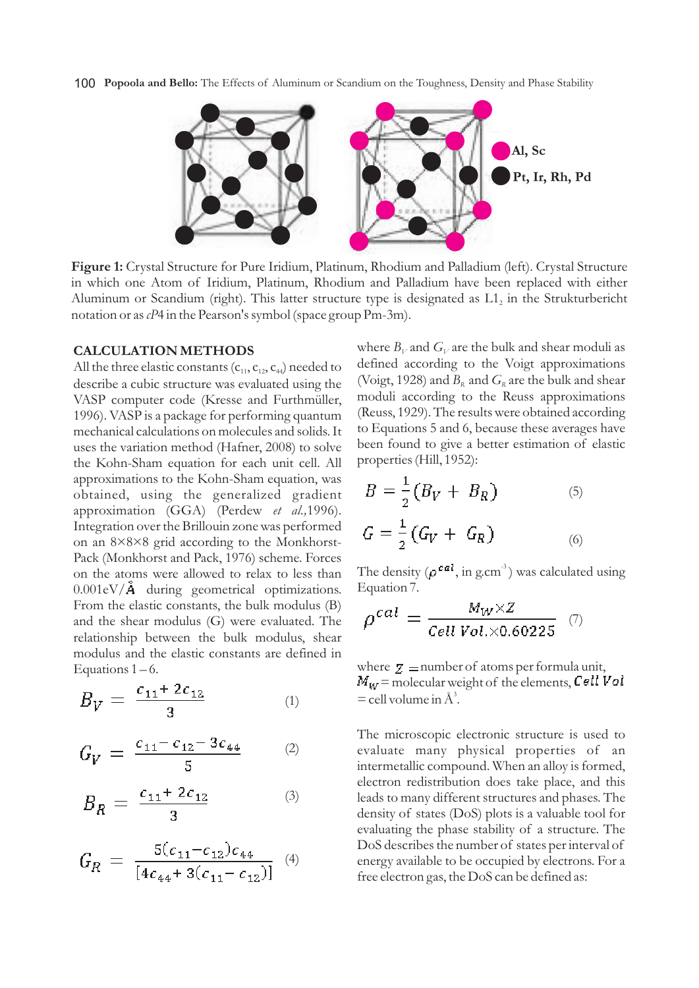100 **Popoola and Bello:** The Effects of Aluminum or Scandium on the Toughness, Density and Phase Stability



**Figure 1:** Crystal Structure for Pure Iridium, Platinum, Rhodium and Palladium (left). Crystal Structure in which one Atom of Iridium, Platinum, Rhodium and Palladium have been replaced with either Aluminum or Scandium (right). This latter structure type is designated as  $L_1$  in the Strukturbericht notation or as *cP*4 in the Pearson's symbol (space group Pm-3m).

#### **CALCULATION METHODS**

All the three elastic constants  $(c_{11}, c_{12}, c_{44})$  needed to describe a cubic structure was evaluated using the VASP computer code (Kresse and Furthmüller, 1996). VASP is a package for performing quantum mechanical calculations on molecules and solids. It uses the variation method (Hafner, 2008) to solve the Kohn-Sham equation for each unit cell. All approximations to the Kohn-Sham equation, was obtained, using the generalized gradient approximation (GGA) (Perdew *et al.,*1996). Integration over the Brillouin zone was performed on an 8×8×8 grid according to the Monkhorst-Pack (Monkhorst and Pack, 1976) scheme. Forces on the atoms were allowed to relax to less than  $0.001 \text{eV}/\text{Å}$  during geometrical optimizations. From the elastic constants, the bulk modulus (B) and the shear modulus (G) were evaluated. The relationship between the bulk modulus, shear modulus and the elastic constants are defined in Equations  $1 - 6$ .

$$
B_V = \frac{c_{11} + 2c_{12}}{3} \tag{1}
$$

$$
G_V = \frac{c_{11} - c_{12} - 3c_{44}}{5} \tag{2}
$$

$$
B_R = \frac{c_{11} + 2c_{12}}{3} \tag{3}
$$

$$
G_R = \frac{5(c_{11} - c_{12})c_{44}}{[4c_{44} + 3(c_{11} - c_{12})]} \quad (4)
$$

where  $B_V$  and  $G_V$  are the bulk and shear moduli as defined according to the Voigt approximations (Voigt, 1928) and  $B_R$  and  $G_R$  are the bulk and shear moduli according to the Reuss approximations (Reuss, 1929). The results were obtained according to Equations 5 and 6, because these averages have been found to give a better estimation of elastic properties (Hill, 1952):

$$
B = \frac{1}{2} (B_V + B_R)
$$
(5)  

$$
G = \frac{1}{2} (G_V + G_R)
$$
(6)

The density ( $\rho^{cal}$ , in g.cm<sup>3</sup>) was calculated using Equation 7.

$$
\rho^{cal} = \frac{M_W \times Z}{Cell\ Vol. \times 0.60225} \ \ (\text{7})
$$

where  $Z =$  number of atoms per formula unit,  $M_W$  = molecular weight of the elements, Cell Vol  $=$  cell volume in  $\mathring{A}^3$ .

The microscopic electronic structure is used to evaluate many physical properties of an intermetallic compound. When an alloy is formed, electron redistribution does take place, and this leads to many different structures and phases. The density of states (DoS) plots is a valuable tool for evaluating the phase stability of a structure. The DoS describes the number of states per interval of energy available to be occupied by electrons. For a free electron gas, the DoS can be defined as: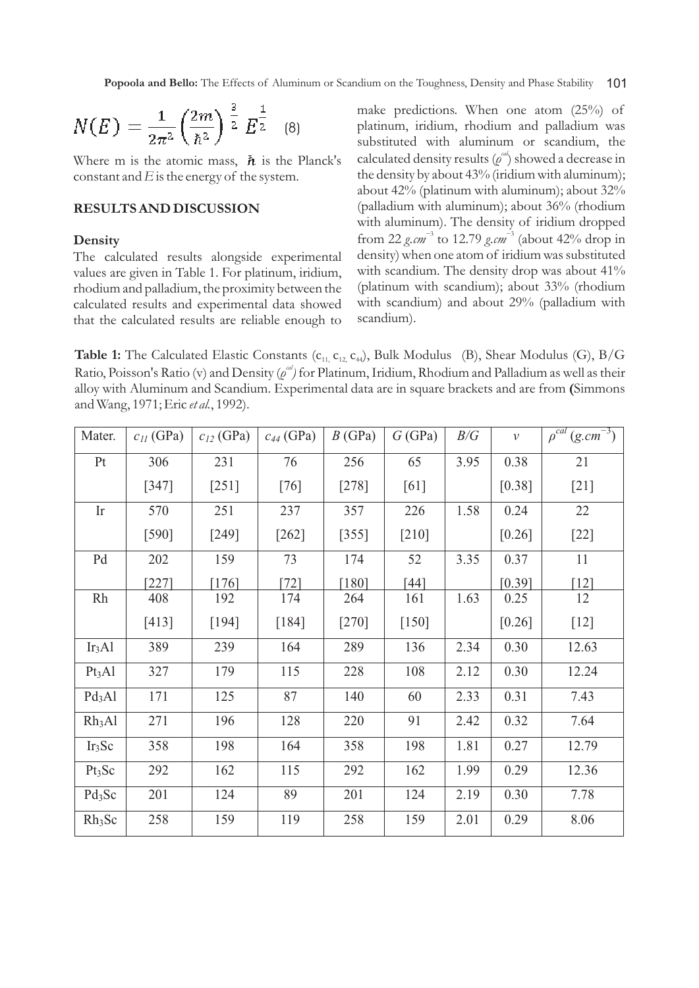$$
N(E) = \frac{1}{2\pi^2} \left(\frac{2m}{\hbar^2}\right)^{\frac{3}{2}} E^{\frac{1}{2}} \quad (8)
$$

Where m is the atomic mass,  $\hbar$  is the Planck's constant and  $E$  is the energy of the system.

# **RESULTS AND DISCUSSION**

### **Density**

The calculated results alongside experimental values are given in Table 1. For platinum, iridium, rhodium and palladium, the proximity between the calculated results and experimental data showed that the calculated results are reliable enough to make predictions. When one atom (25%) of platinum, iridium, rhodium and palladium was substituted with aluminum or scandium, the calculated density results  $(\rho^{\omega})$  showed a decrease in the density by about 43% (iridium with aluminum); about 42% (platinum with aluminum); about 32% (palladium with aluminum); about 36% (rhodium with aluminum). The density of iridium dropped *-* 3 *-* 3 from 22 *g.cm* to 12.79 *g.cm* (about 42% drop in density) when one atom of iridium was substituted with scandium. The density drop was about 41% (platinum with scandium); about 33% (rhodium with scandium) and about 29% (palladium with scandium).

**Table 1:** The Calculated Elastic Constants (c<sub>11, C<sub>12,</sub> c<sub>44</sub>), Bulk Modulus (B), Shear Modulus (G), B/G</sub> *Ratio, Poisson's Ratio (v) and Density (* $\rho^{ad}$ *) for Platinum, Iridium, Rhodium and Palladium as well as their* alloy with Aluminum and Scandium. Experimental data are in square brackets and are from **(**Simmons and Wang, 1971; Eric *et al.*, 1992).

| Mater.             | $c_{II}$ (GPa) | $c_{12}$ (GPa) | $c_{44}$ (GPa) | B(GPa)  | G(GPa)  | B/G  | $\mathcal{V}$ | $\rho^{\overline{cal}}$<br>$(g.cm^{-3})$ |
|--------------------|----------------|----------------|----------------|---------|---------|------|---------------|------------------------------------------|
| Pt                 | 306            | 231            | 76             | 256     | 65      | 3.95 | 0.38          | 21                                       |
|                    | $[347]$        | $[251]$        | [76]           | $[278]$ | [61]    |      | [0.38]        | $[21]$                                   |
| Ir                 | 570            | 251            | 237            | 357     | 226     | 1.58 | 0.24          | 22                                       |
|                    | $[590]$        | $[249]$        | $[262]$        | $[355]$ | $[210]$ |      | [0.26]        | $[22]$                                   |
| Pd                 | 202            | 159            | 73             | 174     | 52      | 3.35 | 0.37          | 11                                       |
|                    | $[227]$        | $[176]$        | $[72]$         | [180]   | $[44]$  |      | [0.39]        | $[12]$                                   |
| Rh                 | 408            | 192            | 174            | 264     | 161     | 1.63 | 0.25          | 12                                       |
|                    | [413]          | [194]          | $[184]$        | $[270]$ | $[150]$ |      | [0.26]        | $[12]$                                   |
| Ir <sub>3</sub> Al | 389            | 239            | 164            | 289     | 136     | 2.34 | 0.30          | 12.63                                    |
| Pt <sub>3</sub> Al | 327            | 179            | 115            | 228     | 108     | 2.12 | 0.30          | 12.24                                    |
| Pd <sub>3</sub> Al | 171            | 125            | 87             | 140     | 60      | 2.33 | 0.31          | 7.43                                     |
| Rh <sub>3</sub> Al | 271            | 196            | 128            | 220     | 91      | 2.42 | 0.32          | 7.64                                     |
| Ir <sub>3</sub> Sc | 358            | 198            | 164            | 358     | 198     | 1.81 | 0.27          | 12.79                                    |
| Pt <sub>3</sub> Sc | 292            | 162            | 115            | 292     | 162     | 1.99 | 0.29          | 12.36                                    |
| $Pd_3Sc$           | 201            | 124            | 89             | 201     | 124     | 2.19 | 0.30          | 7.78                                     |
| Rh <sub>3</sub> Sc | 258            | 159            | 119            | 258     | 159     | 2.01 | 0.29          | 8.06                                     |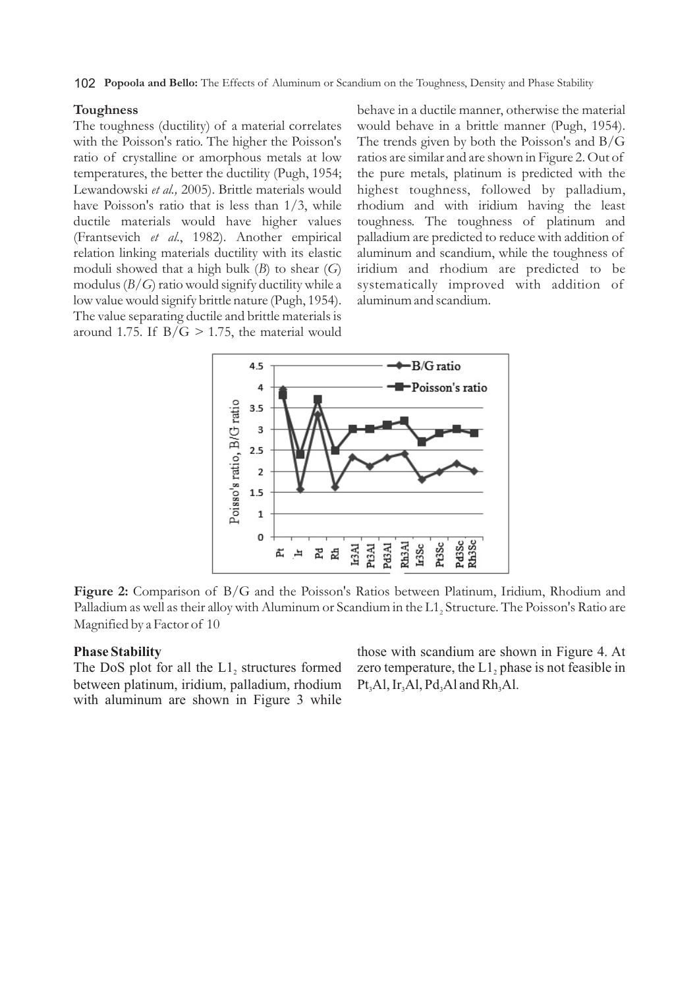## **Toughness**

The toughness (ductility) of a material correlates with the Poisson's ratio. The higher the Poisson's ratio of crystalline or amorphous metals at low temperatures, the better the ductility (Pugh, 1954; Lewandowski *et al.,* 2005). Brittle materials would have Poisson's ratio that is less than 1/3, while ductile materials would have higher values (Frantsevich *et al*., 1982). Another empirical relation linking materials ductility with its elastic moduli showed that a high bulk (*B*) to shear (*G*) modulus (*B/G*) ratio would signify ductility while a low value would signify brittle nature (Pugh, 1954). The value separating ductile and brittle materials is around 1.75. If  $B/G > 1.75$ , the material would behave in a ductile manner, otherwise the material would behave in a brittle manner (Pugh, 1954). The trends given by both the Poisson's and B/G ratios are similar and are shown in Figure 2. Out of the pure metals, platinum is predicted with the highest toughness, followed by palladium, rhodium and with iridium having the least toughness. The toughness of platinum and palladium are predicted to reduce with addition of aluminum and scandium, while the toughness of iridium and rhodium are predicted to be systematically improved with addition of aluminum and scandium.



**Figure 2:** Comparison of B/G and the Poisson's Ratios between Platinum, Iridium, Rhodium and Palladium as well as their alloy with Aluminum or Scandium in the L1, Structure. The Poisson's Ratio are Magnified by a Factor of 10

## **Phase Stability**

The DoS plot for all the  $L_1$  structures formed between platinum, iridium, palladium, rhodium with aluminum are shown in Figure 3 while those with scandium are shown in Figure 4. At zero temperature, the  $L_1$ , phase is not feasible in Pt<sub>3</sub>Al, Ir<sub>3</sub>Al, Pd<sub>3</sub>Al and Rh<sub>3</sub>Al.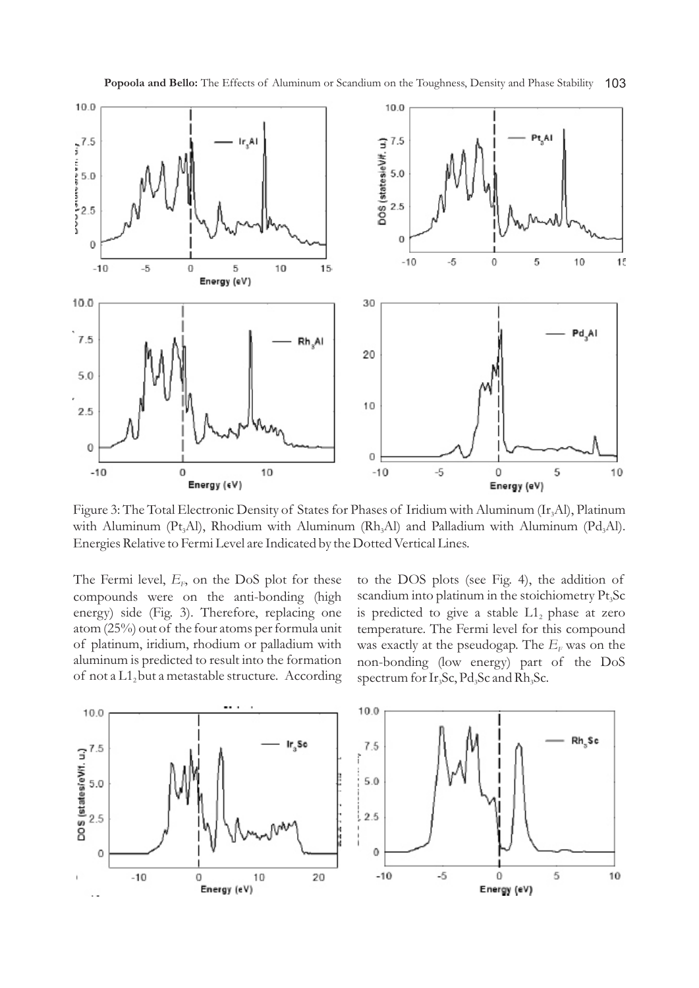

Figure 3: The Total Electronic Density of States for Phases of Iridium with Aluminum (Ir, Al), Platinum with Aluminum (Pt<sub>3</sub>Al), Rhodium with Aluminum (Rh<sub>3</sub>Al) and Palladium with Aluminum (Pd<sub>3</sub>Al). Energies Relative to Fermi Level are Indicated by the Dotted Vertical Lines.

The Fermi level,  $E_F$ , on the DoS plot for these compounds were on the anti-bonding (high energy) side (Fig. 3). Therefore, replacing one atom (25%) out of the four atoms per formula unit of platinum, iridium, rhodium or palladium with aluminum is predicted to result into the formation of not a  $L1_2$  but a metastable structure. According to the DOS plots (see Fig. 4), the addition of scandium into platinum in the stoichiometry  $Pt<sub>3</sub>Sc$ is predicted to give a stable  $L1_2$  phase at zero temperature. The Fermi level for this compound was exactly at the pseudogap. The  $E_F$  was on the non-bonding (low energy) part of the DoS spectrum for  $Ir_3Sc$ ,  $Pd_3Sc$  and  $Rh_3Sc$ .

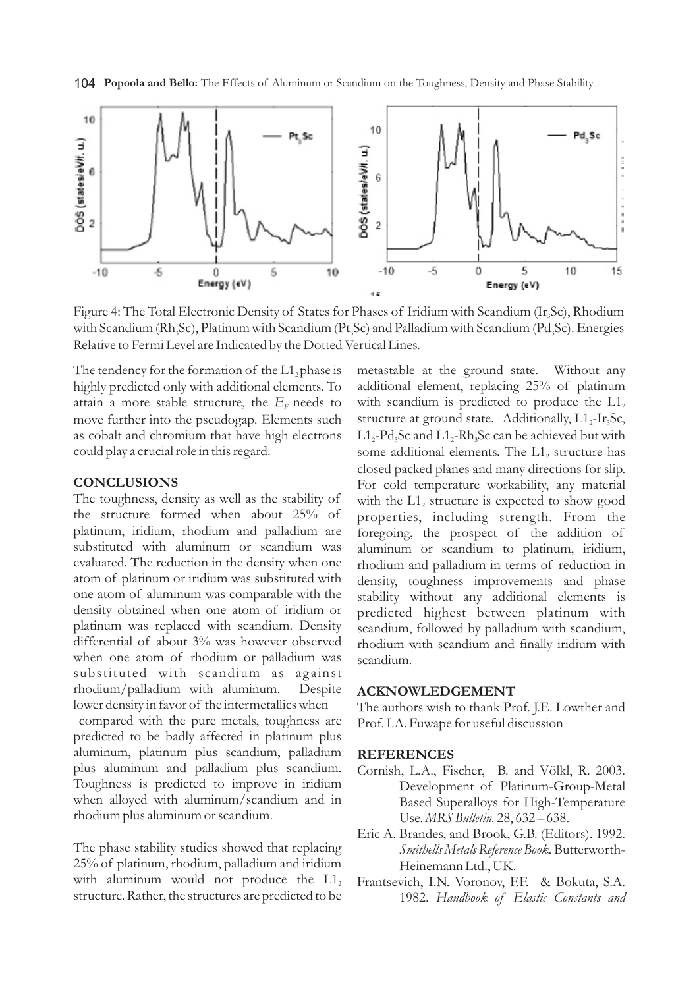



Figure 4: The Total Electronic Density of States for Phases of Iridium with Scandium (Ir, Sc), Rhodium with Scandium (Rh<sub>3</sub>Sc), Platinum with Scandium (Pt<sub>3</sub>Sc) and Palladium with Scandium (Pd<sub>3</sub>Sc). Energies Relative to Fermi Level are Indicated by the Dotted Vertical Lines.

The tendency for the formation of the  $L1$ , phase is highly predicted only with additional elements. To attain a more stable structure, the  $E_F$  needs to move further into the pseudogap*.* Elements such as cobalt and chromium that have high electrons could play a crucial role in this regard.

# **CONCLUSIONS**

The toughness, density as well as the stability of the structure formed when about 25% of platinum, iridium, rhodium and palladium are substituted with aluminum or scandium was evaluated. The reduction in the density when one atom of platinum or iridium was substituted with one atom of aluminum was comparable with the density obtained when one atom of iridium or platinum was replaced with scandium. Density differential of about 3% was however observed when one atom of rhodium or palladium was substituted with scandium as against rhodium/palladium with aluminum. Despite lower density in favor of the intermetallics when

compared with the pure metals, toughness are predicted to be badly affected in platinum plus aluminum, platinum plus scandium, palladium plus aluminum and palladium plus scandium. Toughness is predicted to improve in iridium when alloyed with aluminum/scandium and in rhodium plus aluminum or scandium.

The phase stability studies showed that replacing 25% of platinum, rhodium, palladium and iridium with aluminum would not produce the  $L1$ , structure. Rather, the structures are predicted to be

metastable at the ground state. Without any additional element, replacing 25% of platinum with scandium is predicted to produce the  $L1_2$ structure at ground state. Additionally,  $L1$ <sub>2</sub>-Ir<sub>3</sub>Sc,  $L1_{2}$ -Pd<sub>3</sub>Sc and L1<sub>2</sub>-Rh<sub>3</sub>Sc can be achieved but with some additional elements. The  $L1_2$  structure has closed packed planes and many directions for slip. For cold temperature workability, any material with the  $L1<sub>2</sub>$  structure is expected to show good properties, including strength. From the foregoing, the prospect of the addition of aluminum or scandium to platinum, iridium, rhodium and palladium in terms of reduction in density, toughness improvements and phase stability without any additional elements is predicted highest between platinum with scandium, followed by palladium with scandium, rhodium with scandium and finally iridium with scandium.

#### **ACKNOWLEDGEMENT**

The authors wish to thank Prof. J.E. Lowther and Prof. I.A. Fuwape for useful discussion

### **REFERENCES**

- Cornish, L.A., Fischer, B. and Völkl, R. 2003. Development of Platinum-Group-Metal Based Superalloys for High-Temperature Use. *MRS Bulletin.* 28, 632 – 638.
- Eric A. Brandes, and Brook, G.B. (Editors). 1992. *Smithells Metals Reference Book.* Butterworth-Heinemann Ltd., UK.
- Frantsevich, I.N. Voronov, F.F. & Bokuta, S.A. 1982. *Handbook of Elastic Constants and*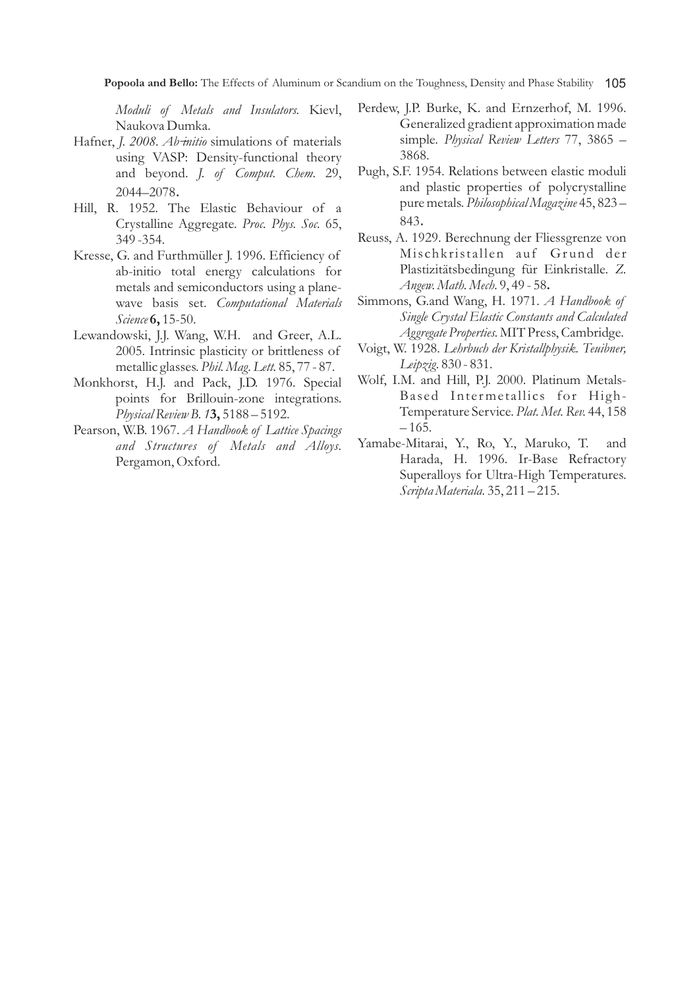*Moduli of Metals and Insulators.* Kievl, Naukova Dumka.

- Hafner, *J. 2008. Ab-initio* simulations of materials using VASP: Density-functional theory and beyond. *J. of Comput. Chem.* 29, 2044–2078.
- Hill, R. 1952. The Elastic Behaviour of a Crystalline Aggregate. *Proc. Phys. Soc.* 65, 349 -354.
- Kresse, G. and Furthmüller J. 1996. Efficiency of ab-initio total energy calculations for metals and semiconductors using a planewave basis set. *Computational Materials Science* **6,** 15-50.
- Lewandowski, J.J. Wang, W.H. and Greer, A.L. 2005. Intrinsic plasticity or brittleness of metallic glasses. *Phil. Mag. Lett.* 85, 77 - 87.
- Monkhorst, H.J. and Pack, J.D. 1976. Special points for Brillouin-zone integrations. *Physical Review B. 1***3,** 5188 – 5192.
- Pearson, W.B. 1967. *A Handbook of Lattice Spacings and Structures of Metals and Alloys.* Pergamon, Oxford.
- Perdew, J.P. Burke, K. and Ernzerhof, M. 1996. Generalized gradient approximation made simple. *Physical Review Letters* 77, 3865 – 3868.
- Pugh, S.F. 1954. Relations between elastic moduli and plastic properties of polycrystalline pure metals. *Philosophical Magazine* 45, 823 – 843.
- Reuss, A. 1929. Berechnung der Fliessgrenze von Mischkristallen auf Grund der Plastizitätsbedingung für Einkristalle. *Z. Angew. Math. Mech.* 9, 49 - 58**.**
- Simmons, G.and Wang, H. 1971. *A Handbook of Single Crystal Elastic Constants and Calculated Aggregate Properties.* MIT Press, Cambridge.
- Voigt, W. 1928. *Lehrbuch der Kristallphysik. Teuibner, Leipzig.* 830 - 831.
- Wolf, I.M. and Hill, P.J. 2000. Platinum Metals-Based Intermetallics for High-Temperature Service. *Plat. Met. Rev.* 44, 158  $-165.$
- Yamabe-Mitarai, Y., Ro, Y., Maruko, T. and Harada, H. 1996. Ir-Base Refractory Superalloys for Ultra-High Temperatures. *Scripta Materiala.* 35, 211 – 215.